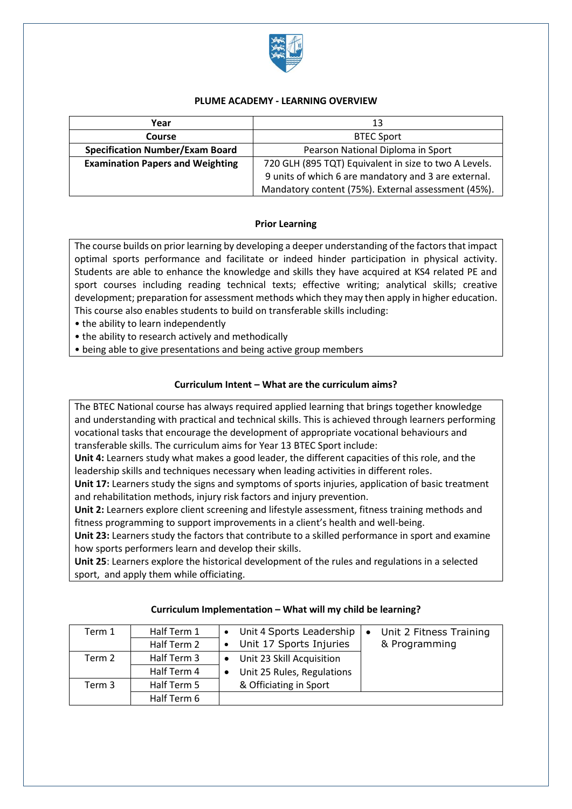

## **PLUME ACADEMY - LEARNING OVERVIEW**

| Year                                    | 13                                                    |  |
|-----------------------------------------|-------------------------------------------------------|--|
| <b>Course</b>                           | <b>BTEC Sport</b>                                     |  |
| <b>Specification Number/Exam Board</b>  | Pearson National Diploma in Sport                     |  |
| <b>Examination Papers and Weighting</b> | 720 GLH (895 TQT) Equivalent in size to two A Levels. |  |
|                                         | 9 units of which 6 are mandatory and 3 are external.  |  |
|                                         | Mandatory content (75%). External assessment (45%).   |  |

## **Prior Learning**

The course builds on prior learning by developing a deeper understanding of the factors that impact optimal sports performance and facilitate or indeed hinder participation in physical activity. Students are able to enhance the knowledge and skills they have acquired at KS4 related PE and sport courses including reading technical texts; effective writing; analytical skills; creative development; preparation for assessment methods which they may then apply in higher education. This course also enables students to build on transferable skills including:

• the ability to learn independently

• the ability to research actively and methodically

• being able to give presentations and being active group members

### **Curriculum Intent – What are the curriculum aims?**

The BTEC National course has always required applied learning that brings together knowledge and understanding with practical and technical skills. This is achieved through learners performing vocational tasks that encourage the development of appropriate vocational behaviours and transferable skills. The curriculum aims for Year 13 BTEC Sport include:

**Unit 4:** Learners study what makes a good leader, the different capacities of this role, and the leadership skills and techniques necessary when leading activities in different roles.

**Unit 17:** Learners study the signs and symptoms of sports injuries, application of basic treatment and rehabilitation methods, injury risk factors and injury prevention.

**Unit 2:** Learners explore client screening and lifestyle assessment, fitness training methods and fitness programming to support improvements in a client's health and well-being.

**Unit 23:** Learners study the factors that contribute to a skilled performance in sport and examine how sports performers learn and develop their skills.

**Unit 25**: Learners explore the historical development of the rules and regulations in a selected sport, and apply them while officiating.

| Term 1 | Half Term 1 | • Unit 4 Sports Leadership              | Unit 2 Fitness Training<br>$\bullet$ |
|--------|-------------|-----------------------------------------|--------------------------------------|
|        | Half Term 2 | • Unit 17 Sports Injuries               | & Programming                        |
| Term 2 | Half Term 3 | Unit 23 Skill Acquisition<br>$\bullet$  |                                      |
|        | Half Term 4 | Unit 25 Rules, Regulations<br>$\bullet$ |                                      |
| Term 3 | Half Term 5 | & Officiating in Sport                  |                                      |
|        | Half Term 6 |                                         |                                      |

### **Curriculum Implementation – What will my child be learning?**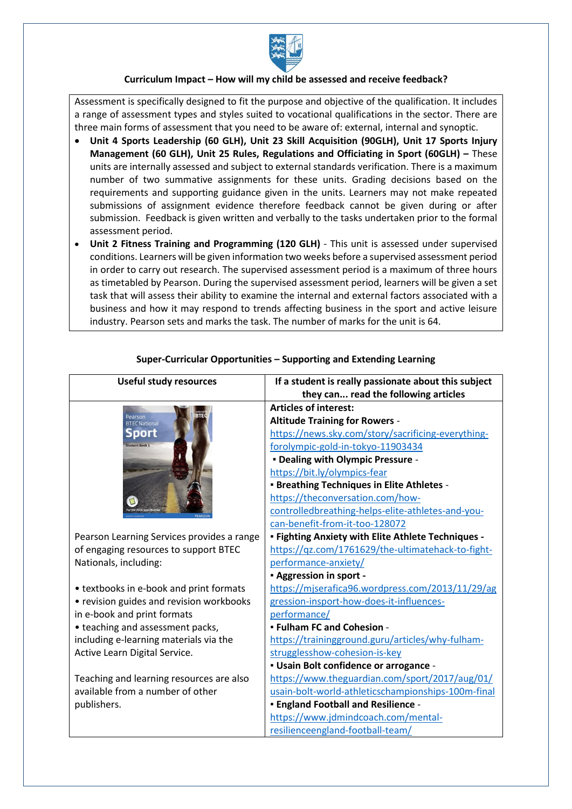

#### **Curriculum Impact – How will my child be assessed and receive feedback?**

Assessment is specifically designed to fit the purpose and objective of the qualification. It includes a range of assessment types and styles suited to vocational qualifications in the sector. There are three main forms of assessment that you need to be aware of: external, internal and synoptic.

- **Unit 4 Sports Leadership (60 GLH), Unit 23 Skill Acquisition (90GLH), Unit 17 Sports Injury Management (60 GLH), Unit 25 Rules, Regulations and Officiating in Sport (60GLH) –** These units are internally assessed and subject to external standards verification. There is a maximum number of two summative assignments for these units. Grading decisions based on the requirements and supporting guidance given in the units. Learners may not make repeated submissions of assignment evidence therefore feedback cannot be given during or after submission. Feedback is given written and verbally to the tasks undertaken prior to the formal assessment period.
- **Unit 2 Fitness Training and Programming (120 GLH)** This unit is assessed under supervised conditions. Learners will be given information two weeks before a supervised assessment period in order to carry out research. The supervised assessment period is a maximum of three hours as timetabled by Pearson. During the supervised assessment period, learners will be given a set task that will assess their ability to examine the internal and external factors associated with a business and how it may respond to trends affecting business in the sport and active leisure industry. Pearson sets and marks the task. The number of marks for the unit is 64.

| <b>Useful study resources</b>              | If a student is really passionate about this subject |
|--------------------------------------------|------------------------------------------------------|
|                                            | they can read the following articles                 |
| Pearson                                    | <b>Articles of interest:</b>                         |
| <b>BTEC National</b>                       | <b>Altitude Training for Rowers -</b>                |
| port                                       | https://news.sky.com/story/sacrificing-everything-   |
|                                            | forolympic-gold-in-tokyo-11903434                    |
|                                            | - Dealing with Olympic Pressure -                    |
|                                            | https://bit.ly/olympics-fear                         |
|                                            | - Breathing Techniques in Elite Athletes -           |
|                                            | https://theconversation.com/how-                     |
|                                            | controlledbreathing-helps-elite-athletes-and-you-    |
|                                            | can-benefit-from-it-too-128072                       |
| Pearson Learning Services provides a range | - Fighting Anxiety with Elite Athlete Techniques -   |
| of engaging resources to support BTEC      | https://qz.com/1761629/the-ultimatehack-to-fight-    |
| Nationals, including:                      | performance-anxiety/                                 |
|                                            | - Aggression in sport -                              |
| • textbooks in e-book and print formats    | https://mjserafica96.wordpress.com/2013/11/29/ag     |
| • revision guides and revision workbooks   | gression-insport-how-does-it-influences-             |
| in e-book and print formats                | performance/                                         |
| • teaching and assessment packs,           | - Fulham FC and Cohesion -                           |
| including e-learning materials via the     | https://trainingground.guru/articles/why-fulham-     |
| Active Learn Digital Service.              | strugglesshow-cohesion-is-key                        |
|                                            | - Usain Bolt confidence or arrogance -               |
| Teaching and learning resources are also   | https://www.theguardian.com/sport/2017/aug/01/       |
| available from a number of other           | usain-bolt-world-athleticschampionships-100m-final   |
| publishers.                                | - England Football and Resilience -                  |
|                                            | https://www.jdmindcoach.com/mental-                  |
|                                            | resilienceengland-football-team/                     |

# **Super-Curricular Opportunities – Supporting and Extending Learning**